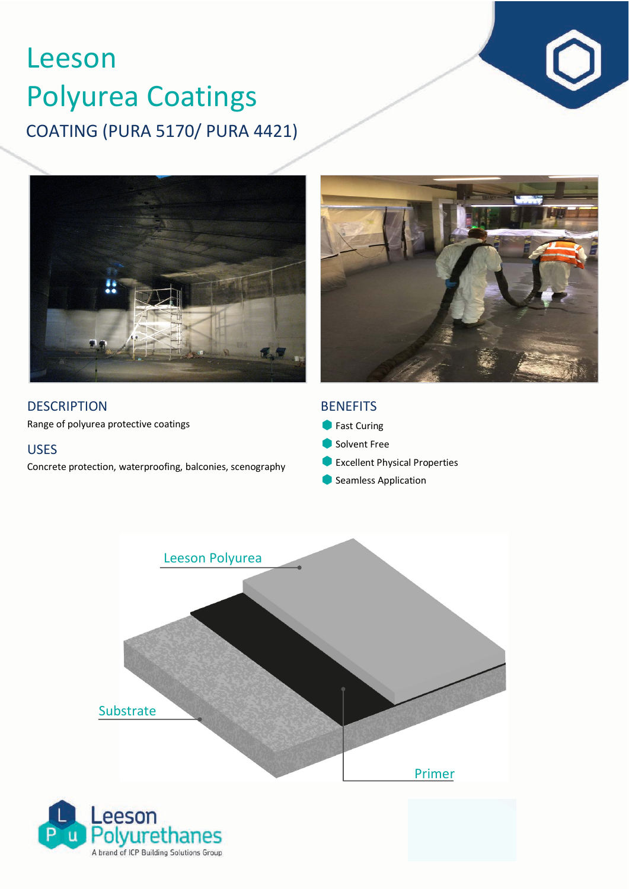# COATING (PURA 5170/ PURA 4421) Leeson Polyurea Coatings



**DESCRIPTION** 

Range of polyurea protective coatings

# USES

Concrete protection, waterproofing, balconies, scenography

# **BENEFITS**

- **Fast Curing**
- Solvent Free
- **C** Excellent Physical Properties
- **Seamless Application**